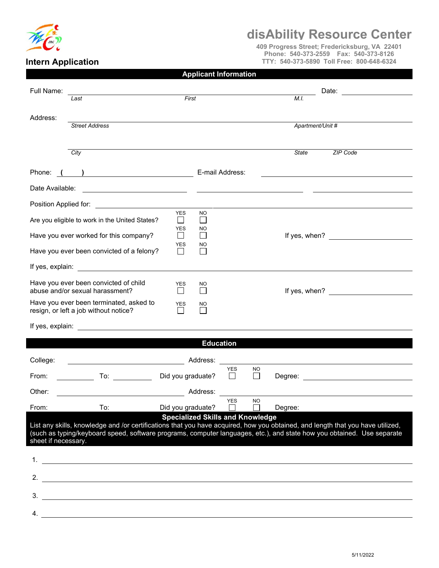

## **disAbility Resource Center**

**409 Progress Street; Fredericksburg, VA 22401 Phone: 540-373-2559 Fax: 540-373-8126 TTY: 540-373-5890 Toll Free: 800-648-6324**

## **Intern Application**

| <b>Applicant Information</b> |  |  |  |  |
|------------------------------|--|--|--|--|
|------------------------------|--|--|--|--|

| Full Name:                                                                                                                                                                                                                                                                                                                 | Last                                                                                                               |                            | First                          |                            |                    | M.I.          | Date:<br><u> 1989 - Andrea Station, amerikansk politiker (</u> |  |
|----------------------------------------------------------------------------------------------------------------------------------------------------------------------------------------------------------------------------------------------------------------------------------------------------------------------------|--------------------------------------------------------------------------------------------------------------------|----------------------------|--------------------------------|----------------------------|--------------------|---------------|----------------------------------------------------------------|--|
|                                                                                                                                                                                                                                                                                                                            |                                                                                                                    |                            |                                |                            |                    |               |                                                                |  |
| Address:                                                                                                                                                                                                                                                                                                                   | <b>Street Address</b>                                                                                              |                            |                                |                            |                    |               | Apartment/Unit #                                               |  |
|                                                                                                                                                                                                                                                                                                                            |                                                                                                                    |                            |                                |                            |                    |               |                                                                |  |
|                                                                                                                                                                                                                                                                                                                            | City                                                                                                               |                            |                                |                            |                    | <b>State</b>  | <b>ZIP Code</b>                                                |  |
| ) and the set of $\overline{\phantom{a}}$<br>Phone:                                                                                                                                                                                                                                                                        |                                                                                                                    |                            | E-mail Address:                |                            |                    |               |                                                                |  |
| Date Available:<br><u> 1989 - Johann Stoff, Amerikaansk politiker († 1908)</u>                                                                                                                                                                                                                                             |                                                                                                                    |                            |                                |                            |                    |               |                                                                |  |
| Position Applied for:                                                                                                                                                                                                                                                                                                      | <u> 1989 - Johann Barbara, martxa amerikan per</u>                                                                 |                            |                                |                            |                    |               |                                                                |  |
|                                                                                                                                                                                                                                                                                                                            | Are you eligible to work in the United States?                                                                     | <b>YES</b><br>$\mathsf{L}$ | <b>NO</b><br>$\mathcal{L}$     |                            |                    |               |                                                                |  |
|                                                                                                                                                                                                                                                                                                                            | Have you ever worked for this company?                                                                             | <b>YES</b><br>$\mathsf{L}$ | NO<br>$\overline{\phantom{0}}$ |                            |                    | If yes, when? |                                                                |  |
| YES<br>NO<br>Have you ever been convicted of a felony?                                                                                                                                                                                                                                                                     |                                                                                                                    |                            |                                |                            |                    |               |                                                                |  |
| If yes, explain:                                                                                                                                                                                                                                                                                                           | <u> 1980 - Jan Barat, prima a</u>                                                                                  |                            |                                |                            |                    |               |                                                                |  |
|                                                                                                                                                                                                                                                                                                                            | Have you ever been convicted of child<br>abuse and/or sexual harassment?                                           | YES<br>$\mathsf{L}$        | NO.                            |                            |                    |               | If yes, when? $\qquad \qquad$                                  |  |
|                                                                                                                                                                                                                                                                                                                            | Have you ever been terminated, asked to<br>resign, or left a job without notice?                                   | <b>YES</b>                 | NO                             |                            |                    |               |                                                                |  |
| If yes, explain: <u>__________________________________</u>                                                                                                                                                                                                                                                                 |                                                                                                                    |                            |                                |                            |                    |               |                                                                |  |
|                                                                                                                                                                                                                                                                                                                            |                                                                                                                    |                            | <b>Education</b>               |                            |                    |               |                                                                |  |
| College:                                                                                                                                                                                                                                                                                                                   |                                                                                                                    |                            | Address:                       |                            |                    |               |                                                                |  |
| From:                                                                                                                                                                                                                                                                                                                      | To:                                                                                                                | Did you graduate?          |                                | YES                        | NO<br>$\mathsf{L}$ | Degree:       |                                                                |  |
| Other:                                                                                                                                                                                                                                                                                                                     |                                                                                                                    |                            | Address:                       |                            |                    |               |                                                                |  |
| From:                                                                                                                                                                                                                                                                                                                      | To:                                                                                                                | Did you graduate?          |                                | <b>YES</b><br>$\mathbf{I}$ | NO.                | Degree:       |                                                                |  |
| <b>Specialized Skills and Knowledge</b><br>List any skills, knowledge and /or certifications that you have acquired, how you obtained, and length that you have utilized,<br>(such as typing/keyboard speed, software programs, computer languages, etc.), and state how you obtained. Use separate<br>sheet if necessary. |                                                                                                                    |                            |                                |                            |                    |               |                                                                |  |
| 1.                                                                                                                                                                                                                                                                                                                         | <u> 1980 - John Stein, marking and de families and de families and de families and de families and de families</u> |                            |                                |                            |                    |               |                                                                |  |
|                                                                                                                                                                                                                                                                                                                            | 2. $\overline{\phantom{a}}$                                                                                        |                            |                                |                            |                    |               |                                                                |  |
| 3.                                                                                                                                                                                                                                                                                                                         |                                                                                                                    |                            |                                |                            |                    |               |                                                                |  |
| 4.                                                                                                                                                                                                                                                                                                                         |                                                                                                                    |                            |                                |                            |                    |               |                                                                |  |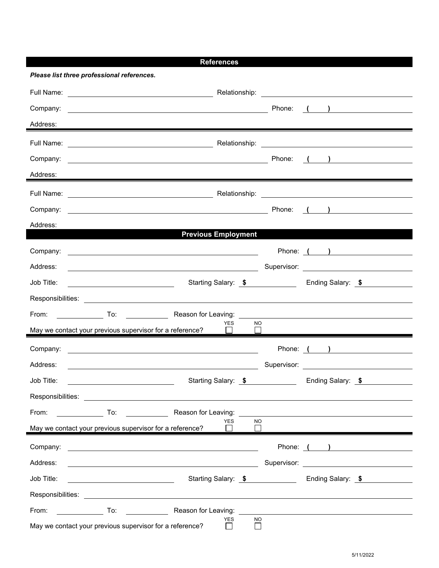|                                                          | <b>References</b>                                                                                                                                                                                                              |           |                                                                                        |  |
|----------------------------------------------------------|--------------------------------------------------------------------------------------------------------------------------------------------------------------------------------------------------------------------------------|-----------|----------------------------------------------------------------------------------------|--|
| Please list three professional references.               |                                                                                                                                                                                                                                |           |                                                                                        |  |
|                                                          |                                                                                                                                                                                                                                |           |                                                                                        |  |
|                                                          |                                                                                                                                                                                                                                |           |                                                                                        |  |
| Address:                                                 |                                                                                                                                                                                                                                |           |                                                                                        |  |
|                                                          |                                                                                                                                                                                                                                |           |                                                                                        |  |
|                                                          |                                                                                                                                                                                                                                |           |                                                                                        |  |
| Address:                                                 |                                                                                                                                                                                                                                |           |                                                                                        |  |
|                                                          |                                                                                                                                                                                                                                |           |                                                                                        |  |
|                                                          |                                                                                                                                                                                                                                |           |                                                                                        |  |
| Address:                                                 |                                                                                                                                                                                                                                |           |                                                                                        |  |
|                                                          | <b>Previous Employment</b>                                                                                                                                                                                                     |           |                                                                                        |  |
|                                                          |                                                                                                                                                                                                                                |           | Phone: ( )                                                                             |  |
| Address:                                                 |                                                                                                                                                                                                                                |           | Supervisor: <u>www.community.community.community.community.community.community.com</u> |  |
| Job Title:                                               |                                                                                                                                                                                                                                |           | Starting Salary: \$ Ending Salary: \$                                                  |  |
|                                                          | Responsibilities: Les and the set of the set of the set of the set of the set of the set of the set of the set of the set of the set of the set of the set of the set of the set of the set of the set of the set of the set o |           |                                                                                        |  |
|                                                          |                                                                                                                                                                                                                                |           |                                                                                        |  |
|                                                          | YES<br>May we contact your previous supervisor for a reference?                                                                                                                                                                | NO.       |                                                                                        |  |
|                                                          |                                                                                                                                                                                                                                |           | Phone: ( )                                                                             |  |
| Address:                                                 | <u> 1980 - Johann Barbara, martin amerikan basar dan berasal dalam basa dalam basar dalam basar dalam basar dala</u>                                                                                                           |           |                                                                                        |  |
| Job Title:                                               |                                                                                                                                                                                                                                |           | Starting Salary: \$ Ending Salary: \$                                                  |  |
|                                                          |                                                                                                                                                                                                                                |           |                                                                                        |  |
| From:                                                    | To: Reason for Leaving:                                                                                                                                                                                                        |           |                                                                                        |  |
| May we contact your previous supervisor for a reference? | <b>YES</b><br>$\mathsf{L}$                                                                                                                                                                                                     | <b>NO</b> |                                                                                        |  |
| Company:                                                 |                                                                                                                                                                                                                                |           | Phone: ( )                                                                             |  |
| Address:                                                 |                                                                                                                                                                                                                                |           |                                                                                        |  |
| Job Title:                                               |                                                                                                                                                                                                                                |           | Starting Salary: \$ Ending Salary: \$                                                  |  |
|                                                          |                                                                                                                                                                                                                                |           |                                                                                        |  |
|                                                          | From: To: Reason for Leaving:                                                                                                                                                                                                  |           |                                                                                        |  |
| May we contact your previous supervisor for a reference? | <b>YES</b><br>$\perp$                                                                                                                                                                                                          | <b>NO</b> |                                                                                        |  |
|                                                          |                                                                                                                                                                                                                                |           |                                                                                        |  |